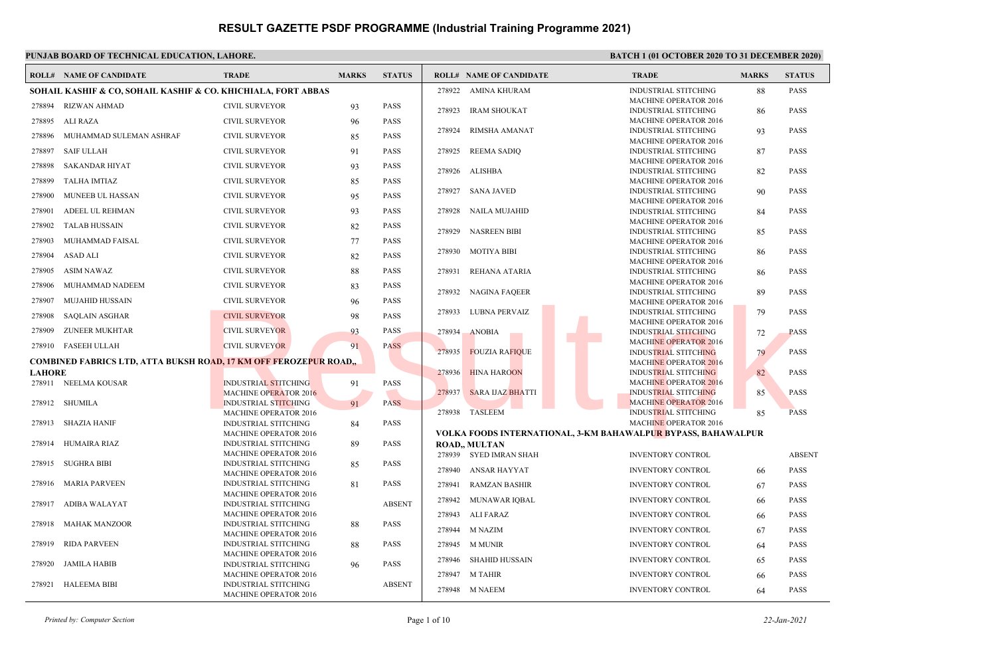|               | <b>ROLL# NAME OF CANDIDATE</b>                                                  | <b>TRADE</b>                                                | <b>MARKS</b> | <b>STATUS</b> |        | <b>ROLL# NAME OF CANDIDATE</b> | <b>TRADE</b>                                                  | <b>MARKS</b> | <b>STATUS</b> |
|---------------|---------------------------------------------------------------------------------|-------------------------------------------------------------|--------------|---------------|--------|--------------------------------|---------------------------------------------------------------|--------------|---------------|
|               | SOHAIL KASHIF & CO, SOHAIL KASHIF & CO. KHICHIALA, FORT ABBAS                   |                                                             |              |               |        | 278922 AMINA KHURAM            | INDUSTRIAL STITCHING                                          | 88           | <b>PASS</b>   |
| 278894        | <b>RIZWAN AHMAD</b>                                                             | <b>CIVIL SURVEYOR</b>                                       | 93           | <b>PASS</b>   | 278923 | <b>IRAM SHOUKAT</b>            | <b>MACHINE OPERATOR 2016</b><br><b>INDUSTRIAL STITCHING</b>   | 86           | <b>PASS</b>   |
| 278895        | ALI RAZA                                                                        | <b>CIVIL SURVEYOR</b>                                       | 96           | <b>PASS</b>   |        |                                | <b>MACHINE OPERATOR 2016</b>                                  |              |               |
| 278896        | MUHAMMAD SULEMAN ASHRAF                                                         | <b>CIVIL SURVEYOR</b>                                       | 85           | <b>PASS</b>   | 278924 | RIMSHA AMANAT                  | <b>INDUSTRIAL STITCHING</b><br><b>MACHINE OPERATOR 2016</b>   | 93           | <b>PASS</b>   |
| 278897        | <b>SAIF ULLAH</b>                                                               | <b>CIVIL SURVEYOR</b>                                       | 91           | <b>PASS</b>   | 278925 | <b>REEMA SADIO</b>             | <b>INDUSTRIAL STITCHING</b>                                   | 87           | <b>PASS</b>   |
| 278898        | SAKANDAR HIYAT                                                                  | <b>CIVIL SURVEYOR</b>                                       | 93           | <b>PASS</b>   |        |                                | <b>MACHINE OPERATOR 2016</b>                                  |              |               |
| 278899        | TALHA IMTIAZ                                                                    | <b>CIVIL SURVEYOR</b>                                       | 85           | <b>PASS</b>   | 278926 | <b>ALISHBA</b>                 | <b>INDUSTRIAL STITCHING</b><br><b>MACHINE OPERATOR 2016</b>   | 82           | <b>PASS</b>   |
| 278900        | MUNEEB UL HASSAN                                                                | <b>CIVIL SURVEYOR</b>                                       | 95           | <b>PASS</b>   |        | 278927 SANA JAVED              | <b>INDUSTRIAL STITCHING</b>                                   | 90           | <b>PASS</b>   |
| 278901        | ADEEL UL REHMAN                                                                 | <b>CIVIL SURVEYOR</b>                                       | 93           | <b>PASS</b>   | 278928 | NAILA MUJAHID                  | <b>MACHINE OPERATOR 2016</b><br><b>INDUSTRIAL STITCHING</b>   | 84           | <b>PASS</b>   |
|               |                                                                                 |                                                             |              |               |        |                                | <b>MACHINE OPERATOR 2016</b>                                  |              |               |
| 278902        | <b>TALAB HUSSAIN</b>                                                            | <b>CIVIL SURVEYOR</b>                                       | 82           | <b>PASS</b>   | 278929 | <b>NASREEN BIBI</b>            | INDUSTRIAL STITCHING                                          | 85           | <b>PASS</b>   |
| 278903        | MUHAMMAD FAISAL                                                                 | <b>CIVIL SURVEYOR</b>                                       | 77           | <b>PASS</b>   |        |                                | <b>MACHINE OPERATOR 2016</b>                                  |              |               |
| 278904        | <b>ASAD ALI</b>                                                                 | <b>CIVIL SURVEYOR</b>                                       | 82           | <b>PASS</b>   | 278930 | MOTIYA BIBI                    | <b>INDUSTRIAL STITCHING</b><br><b>MACHINE OPERATOR 2016</b>   | 86           | <b>PASS</b>   |
| 278905        | <b>ASIM NAWAZ</b>                                                               | <b>CIVIL SURVEYOR</b>                                       | 88           | <b>PASS</b>   | 278931 | REHANA ATARIA                  | INDUSTRIAL STITCHING                                          | 86           | <b>PASS</b>   |
| 278906        | MUHAMMAD NADEEM                                                                 | <b>CIVIL SURVEYOR</b>                                       | 83           | <b>PASS</b>   |        |                                | <b>MACHINE OPERATOR 2016</b>                                  |              |               |
| 278907        | MUJAHID HUSSAIN                                                                 | <b>CIVIL SURVEYOR</b>                                       | 96           | <b>PASS</b>   | 278932 | <b>NAGINA FAQEER</b>           | <b>INDUSTRIAL STITCHING</b><br><b>MACHINE OPERATOR 2016</b>   | 89           | <b>PASS</b>   |
| 278908        | <b>SAQLAIN ASGHAR</b>                                                           | <b>CIVIL SURVEYOR</b>                                       |              | <b>PASS</b>   | 278933 | LUBNA PERVAIZ                  | <b>INDUSTRIAL STITCHING</b>                                   | 79           | <b>PASS</b>   |
|               |                                                                                 |                                                             | 98           |               |        |                                | <b>MACHINE OPERATOR 2016</b>                                  |              |               |
| 278909        | ZUNEER MUKHTAR                                                                  | <b>CIVIL SURVEYOR</b>                                       | 93           | <b>PASS</b>   | 278934 | <b>ANOBIA</b>                  | <b>INDUSTRIAL STITCHING</b>                                   | 72           | <b>PASS</b>   |
|               | 278910 FASEEH ULLAH                                                             | <b>CIVIL SURVEYOR</b>                                       | 91           | PASS          | 278935 | <b>FOUZIA RAFIQUE</b>          | <b>MACHINE OPERATOR 2016</b><br><b>INDUSTRIAL STITCHING</b>   | 79           | <b>PASS</b>   |
|               | COMBINED FABRICS LTD, ATTA BUKSH RO <mark>AD, 17 KM OFF</mark> FEROZEPUR ROAD,, |                                                             |              |               |        |                                | <b>MACHINE OPERATOR 2016</b>                                  |              |               |
| <b>LAHORE</b> |                                                                                 |                                                             |              |               | 278936 | <b>HINA HAROON</b>             | <b>INDUSTRIAL STITCHING</b>                                   | 82           | <b>PASS</b>   |
|               | 278911 NEELMA KOUSAR                                                            | <b>INDUSTRIAL STITCHING</b>                                 | 91           | <b>PASS</b>   |        |                                | <b>MACHINE OPERATOR 2016</b>                                  |              |               |
|               |                                                                                 | <b>MACHINE OPERATOR 2016</b>                                |              |               | 278937 | <b>SARA IJAZ BHATTI</b>        | <b>INDUSTRIAL STITCHING</b>                                   | 85           | <b>PASS</b>   |
|               | 278912 SHUMILA                                                                  | <b>INDUSTRIAL STITCHING</b>                                 | 91           | <b>PASS</b>   |        | 278938 TASLEEM                 | <b>MACHINE OPERATOR 2016</b><br><b>INDUSTRIAL STITCHING</b>   | 85           | <b>PASS</b>   |
| 278913        | SHAZIA HANIF                                                                    | <b>MACHINE OPERATOR 2016</b><br><b>INDUSTRIAL STITCHING</b> | 84           | <b>PASS</b>   |        |                                | <b>MACHINE OPERATOR 2016</b>                                  |              |               |
|               |                                                                                 | <b>MACHINE OPERATOR 2016</b>                                |              |               |        |                                | VOLKA FOODS INTERNATIONAL, 3-KM BAHAWALPUR BYPASS, BAHAWALPUR |              |               |
| 278914        | HUMAIRA RIAZ                                                                    | INDUSTRIAL STITCHING                                        | 89           | <b>PASS</b>   |        | <b>ROAD, MULTAN</b>            |                                                               |              |               |
|               |                                                                                 | <b>MACHINE OPERATOR 2016</b>                                |              |               |        | 278939 SYED IMRAN SHAH         | <b>INVENTORY CONTROL</b>                                      |              | <b>ABSENT</b> |
| 278915        | SUGHRA BIBI                                                                     | INDUSTRIAL STITCHING<br><b>MACHINE OPERATOR 2016</b>        | 85           | <b>PASS</b>   | 278940 | <b>ANSAR HAYYAT</b>            | <b>INVENTORY CONTROL</b>                                      | 66           | <b>PASS</b>   |
| 278916        | <b>MARIA PARVEEN</b>                                                            | <b>INDUSTRIAL STITCHING</b>                                 | 81           | <b>PASS</b>   | 278941 | <b>RAMZAN BASHIR</b>           | <b>INVENTORY CONTROL</b>                                      | 67           | <b>PASS</b>   |
|               |                                                                                 | <b>MACHINE OPERATOR 2016</b>                                |              |               | 278942 | MUNAWAR IOBAL                  | <b>INVENTORY CONTROL</b>                                      | 66           | <b>PASS</b>   |
| 278917        | ADIBA WALAYAT                                                                   | <b>INDUSTRIAL STITCHING</b><br><b>MACHINE OPERATOR 2016</b> |              | <b>ABSENT</b> | 278943 | ALI FARAZ                      | <b>INVENTORY CONTROL</b>                                      |              | PASS          |
| 278918        | <b>MAHAK MANZOOR</b>                                                            | <b>INDUSTRIAL STITCHING</b>                                 | 88           | <b>PASS</b>   |        |                                |                                                               | 66           |               |
|               |                                                                                 | <b>MACHINE OPERATOR 2016</b>                                |              |               | 278944 | M NAZIM                        | <b>INVENTORY CONTROL</b>                                      | 67           | <b>PASS</b>   |
| 278919        | <b>RIDA PARVEEN</b>                                                             | <b>INDUSTRIAL STITCHING</b>                                 | 88           | <b>PASS</b>   |        | 278945 M MUNIR                 | <b>INVENTORY CONTROL</b>                                      | 64           | <b>PASS</b>   |
| 278920        | <b>JAMILA HABIB</b>                                                             | <b>MACHINE OPERATOR 2016</b><br><b>INDUSTRIAL STITCHING</b> | 96           | <b>PASS</b>   | 278946 | <b>SHAHID HUSSAIN</b>          | <b>INVENTORY CONTROL</b>                                      | 65           | <b>PASS</b>   |
|               |                                                                                 | <b>MACHINE OPERATOR 2016</b>                                |              |               | 278947 | <b>M TAHIR</b>                 | <b>INVENTORY CONTROL</b>                                      | 66           | <b>PASS</b>   |
| 278921        | HALEEMA BIBI                                                                    | <b>INDUSTRIAL STITCHING</b><br><b>MACHINE OPERATOR 2016</b> |              | <b>ABSENT</b> |        | 278948 M NAEEM                 | INVENTORY CONTROL                                             | 64           | <b>PASS</b>   |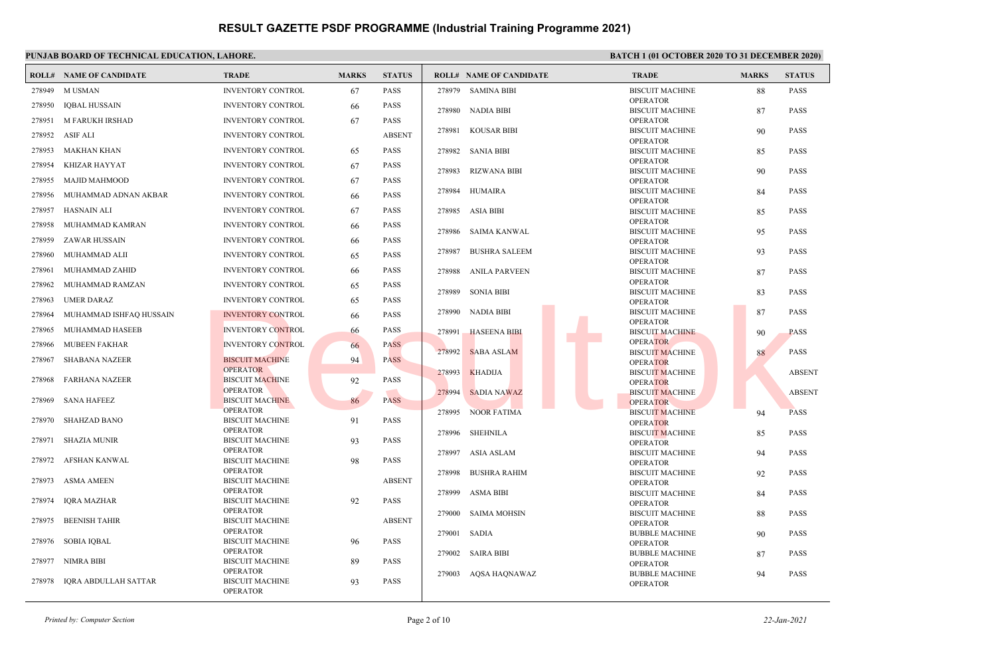|        | <b>ROLL# NAME OF CANDIDATE</b> | <b>TRADE</b>                              | <b>MARKS</b> | <b>STATUS</b> |        | <b>ROLL# NAME OF CANDIDATE</b> | <b>TRADE</b>                              | <b>MARKS</b> | <b>STATUS</b> |
|--------|--------------------------------|-------------------------------------------|--------------|---------------|--------|--------------------------------|-------------------------------------------|--------------|---------------|
| 278949 | <b>MUSMAN</b>                  | <b>INVENTORY CONTROL</b>                  | 67           | <b>PASS</b>   |        | 278979 SAMINA BIBI             | <b>BISCUIT MACHINE</b>                    | 88           | <b>PASS</b>   |
| 278950 | <b>IQBAL HUSSAIN</b>           | <b>INVENTORY CONTROL</b>                  | 66           | <b>PASS</b>   |        |                                | <b>OPERATOR</b>                           |              |               |
| 278951 | M FARUKH IRSHAD                | <b>INVENTORY CONTROL</b>                  | 67           | <b>PASS</b>   |        | 278980 NADIA BIBI              | <b>BISCUIT MACHINE</b><br><b>OPERATOR</b> | 87           | <b>PASS</b>   |
|        |                                |                                           |              |               |        | 278981 KOUSAR BIBI             | <b>BISCUIT MACHINE</b>                    | 90           | <b>PASS</b>   |
| 278952 | ASIF ALI                       | <b>INVENTORY CONTROL</b>                  |              | <b>ABSENT</b> |        |                                | <b>OPERATOR</b>                           |              |               |
| 278953 | MAKHAN KHAN                    | <b>INVENTORY CONTROL</b>                  | 65           | <b>PASS</b>   | 278982 | SANIA BIBI                     | <b>BISCUIT MACHINE</b>                    | 85           | <b>PASS</b>   |
| 278954 | KHIZAR HAYYAT                  | <b>INVENTORY CONTROL</b>                  | 67           | <b>PASS</b>   | 278983 | RIZWANA BIBI                   | <b>OPERATOR</b><br><b>BISCUIT MACHINE</b> | 90           | <b>PASS</b>   |
| 278955 | <b>MAJID MAHMOOD</b>           | <b>INVENTORY CONTROL</b>                  | 67           | <b>PASS</b>   |        |                                | <b>OPERATOR</b>                           |              |               |
| 278956 | MUHAMMAD ADNAN AKBAR           | <b>INVENTORY CONTROL</b>                  | -66          | <b>PASS</b>   | 278984 | <b>HUMAIRA</b>                 | <b>BISCUIT MACHINE</b>                    | 84           | <b>PASS</b>   |
| 278957 | <b>HASNAIN ALI</b>             | <b>INVENTORY CONTROL</b>                  | 67           | <b>PASS</b>   |        | 278985 ASIA BIBI               | <b>OPERATOR</b><br><b>BISCUIT MACHINE</b> | 85           | <b>PASS</b>   |
| 278958 | MUHAMMAD KAMRAN                | <b>INVENTORY CONTROL</b>                  | 66           | PASS          |        |                                | <b>OPERATOR</b>                           |              |               |
| 278959 | ZAWAR HUSSAIN                  | <b>INVENTORY CONTROL</b>                  | 66           | PASS          | 278986 | SAIMA KANWAL                   | <b>BISCUIT MACHINE</b><br><b>OPERATOR</b> | 95           | <b>PASS</b>   |
| 278960 | MUHAMMAD ALII                  | <b>INVENTORY CONTROL</b>                  | 65           | PASS          | 278987 | <b>BUSHRA SALEEM</b>           | <b>BISCUIT MACHINE</b>                    | 93           | <b>PASS</b>   |
| 278961 | MUHAMMAD ZAHID                 | <b>INVENTORY CONTROL</b>                  | 66           | PASS          |        | 278988 ANILA PARVEEN           | <b>OPERATOR</b><br><b>BISCUIT MACHINE</b> | 87           | <b>PASS</b>   |
| 278962 | MUHAMMAD RAMZAN                | <b>INVENTORY CONTROL</b>                  |              | <b>PASS</b>   |        |                                | <b>OPERATOR</b>                           |              |               |
|        |                                |                                           | 65           |               | 278989 | <b>SONIA BIBI</b>              | <b>BISCUIT MACHINE</b>                    | 83           | <b>PASS</b>   |
| 278963 | <b>UMER DARAZ</b>              | <b>INVENTORY CONTROL</b>                  | 65           | <b>PASS</b>   |        |                                | <b>OPERATOR</b>                           |              |               |
| 278964 | MUHAMMAD ISHFAQ HUSSAIN        | <b>INVENTORY CONTROL</b>                  | 66           | <b>PASS</b>   |        | 278990 NADIA BIBI              | <b>BISCUIT MACHINE</b><br><b>OPERATOR</b> | 87           | PASS          |
| 278965 | MUHAMMAD HASEEB                | <b>INVENTORY CONTROL</b>                  | 66           | PASS          |        | 278991 HASEENA BIBI            | <b>BISCUIT MACHINE</b>                    | 90           | <b>PASS</b>   |
| 278966 | <b>MUBEEN FAKHAR</b>           | <b>INVENTORY CONTROL</b>                  | 66           | <b>PASS</b>   | 278992 | <b>SABA ASLAM</b>              | <b>OPERATOR</b>                           |              | <b>PASS</b>   |
| 278967 | <b>SHABANA NAZEER</b>          | <b>BISCUIT MACHINE</b>                    | 94           | <b>PASS</b>   |        |                                | <b>BISCUIT MACHINE</b><br><b>OPERATOR</b> | 88           |               |
|        |                                | <b>OPERATOR</b>                           |              |               | 278993 | <b>KHADIJA</b>                 | <b>BISCUIT MACHINE</b>                    |              | <b>ABSENT</b> |
| 278968 | <b>FARHANA NAZEER</b>          | <b>BISCUIT MACHINE</b><br><b>OPERATOR</b> | 92           | <b>PASS</b>   |        |                                | <b>OPERATOR</b>                           |              |               |
| 278969 | <b>SANA HAFEEZ</b>             | <b>BISCUIT MACHINE</b>                    | 86           | <b>PASS</b>   | 278994 | <b>SADIA NAWAZ</b>             | <b>BISCUIT MACHINE</b>                    |              | <b>ABSENT</b> |
|        |                                | <b>OPERATOR</b>                           |              |               |        | 278995 NOOR FATIMA             | <b>OPERATOR</b><br><b>BISCUIT MACHINE</b> | 94           | <b>PASS</b>   |
| 278970 | SHAHZAD BANO                   | <b>BISCUIT MACHINE</b>                    | 91           | <b>PASS</b>   |        |                                | <b>OPERATOR</b>                           |              |               |
|        |                                | <b>OPERATOR</b>                           |              |               | 278996 | SHEHNILA                       | <b>BISCUIT MACHINE</b>                    | 85           | <b>PASS</b>   |
| 278971 | <b>SHAZIA MUNIR</b>            | <b>BISCUIT MACHINE</b><br><b>OPERATOR</b> | 93           | <b>PASS</b>   |        |                                | <b>OPERATOR</b>                           |              |               |
| 278972 | AFSHAN KANWAL                  | <b>BISCUIT MACHINE</b>                    | 98           | <b>PASS</b>   |        | 278997 ASIA ASLAM              | <b>BISCUIT MACHINE</b><br><b>OPERATOR</b> | 94           | <b>PASS</b>   |
|        |                                | <b>OPERATOR</b>                           |              |               |        | 278998 BUSHRA RAHIM            | <b>BISCUIT MACHINE</b>                    | 92           | <b>PASS</b>   |
| 278973 | ASMA AMEEN                     | <b>BISCUIT MACHINE</b>                    |              | <b>ABSENT</b> |        |                                | <b>OPERATOR</b>                           |              |               |
| 278974 | IQRA MAZHAR                    | <b>OPERATOR</b><br><b>BISCUIT MACHINE</b> | 92           | <b>PASS</b>   | 278999 | ASMA BIBI                      | <b>BISCUIT MACHINE</b>                    | 84           | <b>PASS</b>   |
|        |                                | <b>OPERATOR</b>                           |              |               |        | 279000 SAIMA MOHSIN            | <b>OPERATOR</b><br><b>BISCUIT MACHINE</b> | 88           | <b>PASS</b>   |
| 278975 | <b>BEENISH TAHIR</b>           | <b>BISCUIT MACHINE</b>                    |              | <b>ABSENT</b> |        |                                | <b>OPERATOR</b>                           |              |               |
|        |                                | <b>OPERATOR</b>                           |              |               | 279001 | SADIA                          | <b>BUBBLE MACHINE</b>                     | 90           | <b>PASS</b>   |
| 278976 | <b>SOBIA IOBAL</b>             | <b>BISCUIT MACHINE</b><br><b>OPERATOR</b> | 96           | <b>PASS</b>   |        |                                | <b>OPERATOR</b>                           |              |               |
| 278977 | NIMRA BIBI                     | <b>BISCUIT MACHINE</b>                    | 89           | PASS          | 279002 | SAIRA BIBI                     | <b>BUBBLE MACHINE</b><br><b>OPERATOR</b>  | 87           | <b>PASS</b>   |
|        |                                | <b>OPERATOR</b>                           |              |               | 279003 | AQSA HAQNAWAZ                  | <b>BUBBLE MACHINE</b>                     | 94           | <b>PASS</b>   |
| 278978 | IQRA ABDULLAH SATTAR           | <b>BISCUIT MACHINE</b><br><b>OPERATOR</b> | 93           | <b>PASS</b>   |        |                                | <b>OPERATOR</b>                           |              |               |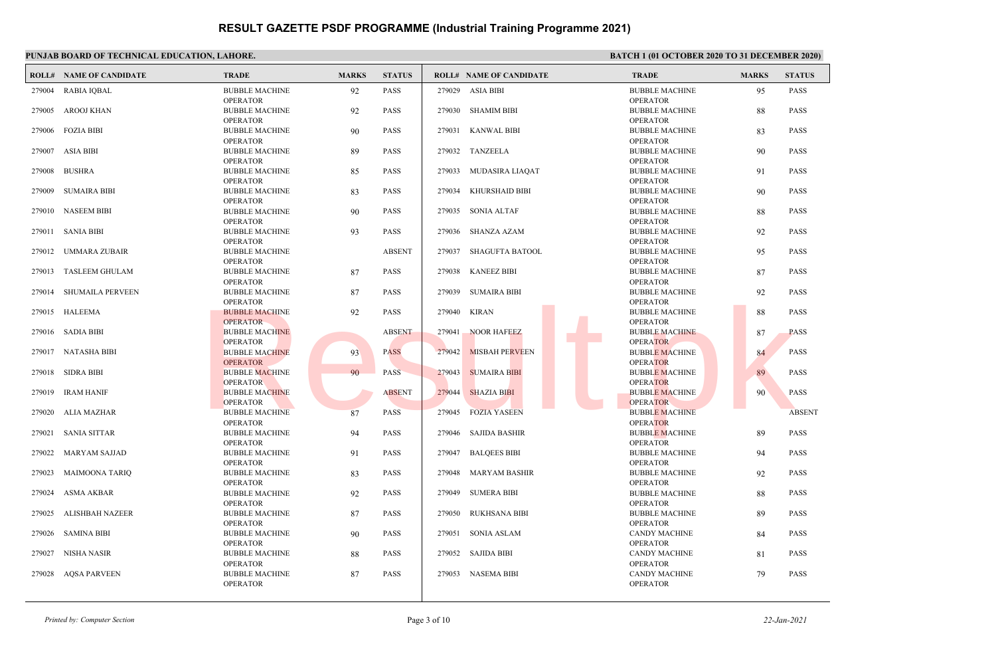|        | <b>ROLL# NAME OF CANDIDATE</b> | <b>TRADE</b>                                                | <b>MARKS</b> | <b>STATUS</b> |        | <b>ROLL# NAME OF CANDIDATE</b> | <b>TRADE</b>                                                | <b>MARKS</b> | <b>STATUS</b> |
|--------|--------------------------------|-------------------------------------------------------------|--------------|---------------|--------|--------------------------------|-------------------------------------------------------------|--------------|---------------|
| 279004 | RABIA IQBAL                    | <b>BUBBLE MACHINE</b><br><b>OPERATOR</b>                    | 92           | <b>PASS</b>   | 279029 | ASIA BIBI                      | <b>BUBBLE MACHINE</b><br><b>OPERATOR</b>                    | 95           | <b>PASS</b>   |
| 279005 | AROOJ KHAN                     | <b>BUBBLE MACHINE</b><br><b>OPERATOR</b>                    | 92           | <b>PASS</b>   | 279030 | SHAMIM BIBI                    | <b>BUBBLE MACHINE</b><br><b>OPERATOR</b>                    | 88           | <b>PASS</b>   |
|        | 279006 FOZIA BIBI              | <b>BUBBLE MACHINE</b><br><b>OPERATOR</b>                    | 90           | <b>PASS</b>   |        | 279031 KANWAL BIBI             | <b>BUBBLE MACHINE</b><br><b>OPERATOR</b>                    | 83           | <b>PASS</b>   |
|        | 279007 ASIA BIBI               | <b>BUBBLE MACHINE</b><br><b>OPERATOR</b>                    | 89           | <b>PASS</b>   | 279032 | TANZEELA                       | <b>BUBBLE MACHINE</b><br><b>OPERATOR</b>                    | 90           | <b>PASS</b>   |
|        | 279008 BUSHRA                  | <b>BUBBLE MACHINE</b><br><b>OPERATOR</b>                    | 85           | <b>PASS</b>   |        | 279033 MUDASIRA LIAQAT         | <b>BUBBLE MACHINE</b><br><b>OPERATOR</b>                    | 91           | <b>PASS</b>   |
| 279009 | <b>SUMAIRA BIBI</b>            | <b>BUBBLE MACHINE</b><br><b>OPERATOR</b>                    | 83           | <b>PASS</b>   | 279034 | KHURSHAID BIBI                 | <b>BUBBLE MACHINE</b><br><b>OPERATOR</b>                    | 90           | <b>PASS</b>   |
|        | 279010 NASEEM BIBI             | <b>BUBBLE MACHINE</b><br><b>OPERATOR</b>                    | 90           | <b>PASS</b>   | 279035 | SONIA ALTAF                    | <b>BUBBLE MACHINE</b><br><b>OPERATOR</b>                    | 88           | <b>PASS</b>   |
| 279011 | SANIA BIBI                     | <b>BUBBLE MACHINE</b><br><b>OPERATOR</b>                    | 93           | <b>PASS</b>   | 279036 | SHANZA AZAM                    | <b>BUBBLE MACHINE</b><br><b>OPERATOR</b>                    | 92           | <b>PASS</b>   |
|        | 279012 UMMARA ZUBAIR           | <b>BUBBLE MACHINE</b><br><b>OPERATOR</b>                    |              | <b>ABSENT</b> | 279037 | SHAGUFTA BATOOL                | <b>BUBBLE MACHINE</b><br><b>OPERATOR</b>                    | 95           | <b>PASS</b>   |
|        | 279013 TASLEEM GHULAM          | <b>BUBBLE MACHINE</b><br><b>OPERATOR</b>                    | 87           | <b>PASS</b>   | 279038 | <b>KANEEZ BIBI</b>             | <b>BUBBLE MACHINE</b><br><b>OPERATOR</b>                    | 87           | <b>PASS</b>   |
|        | 279014 SHUMAILA PERVEEN        | <b>BUBBLE MACHINE</b><br><b>OPERATOR</b>                    | 87           | <b>PASS</b>   | 279039 | <b>SUMAIRA BIBI</b>            | <b>BUBBLE MACHINE</b><br><b>OPERATOR</b>                    | 92           | <b>PASS</b>   |
|        | 279015 HALEEMA                 | <b>BUBBLE MACHINE</b><br><b>OPERATOR</b>                    | 92           | <b>PASS</b>   | 279040 | <b>KIRAN</b>                   | <b>BUBBLE MACHINE</b><br><b>OPERATOR</b>                    | 88           | <b>PASS</b>   |
|        | 279016 SADIA BIBI              | <b>BUBBLE MACHINE</b>                                       |              | <b>ABSENT</b> | 279041 | <b>NOOR HAFEEZ</b>             | <b>BUBBLE MACHINE</b>                                       | 87           | <b>PASS</b>   |
|        | 279017 NATASHA BIBI            | <b>OPERATOR</b><br><b>BUBBLE MACHINE</b>                    | 93           | <b>PASS</b>   | 279042 | <b>MISBAH PERVEEN</b>          | <b>OPERATOR</b><br><b>BUBBLE MACHINE</b>                    | 84           | <b>PASS</b>   |
|        | 279018 SIDRA BIBI              | <b>OPERATOR</b><br><b>BUBBLE MACHINE</b><br><b>OPERATOR</b> | 90           | <b>PASS</b>   | 279043 | <b>SUMAIRA BIBI</b>            | <b>OPERATOR</b><br><b>BUBBLE MACHINE</b><br><b>OPERATOR</b> | 89           | <b>PASS</b>   |
|        | 279019 IRAM HANIF              | <b>BUBBLE MACHINE</b><br><b>OPERATOR</b>                    |              | <b>ABSENT</b> | 279044 | <b>SHAZIA BIBI</b>             | <b>BUBBLE MACHINE</b><br><b>OPERATOR</b>                    | 90           | <b>PASS</b>   |
|        | 279020 ALIA MAZHAR             | <b>BUBBLE MACHINE</b><br><b>OPERATOR</b>                    | 87           | <b>PASS</b>   |        | 279045 FOZIA YASEEN            | <b>BUBBLE MACHINE</b><br><b>OPERATOR</b>                    |              | <b>ABSENT</b> |
| 279021 | <b>SANIA SITTAR</b>            | <b>BUBBLE MACHINE</b><br><b>OPERATOR</b>                    | 94           | <b>PASS</b>   | 279046 | <b>SAJIDA BASHIR</b>           | <b>BUBBLE MACHINE</b><br><b>OPERATOR</b>                    | 89           | <b>PASS</b>   |
| 279022 | <b>MARYAM SAJJAD</b>           | <b>BUBBLE MACHINE</b><br><b>OPERATOR</b>                    | 91           | <b>PASS</b>   | 279047 | <b>BALQEES BIBI</b>            | <b>BUBBLE MACHINE</b><br><b>OPERATOR</b>                    | 94           | <b>PASS</b>   |
|        | 279023 MAIMOONA TARIQ          | <b>BUBBLE MACHINE</b><br><b>OPERATOR</b>                    | 83           | <b>PASS</b>   | 279048 | <b>MARYAM BASHIR</b>           | <b>BUBBLE MACHINE</b><br><b>OPERATOR</b>                    | 92           | <b>PASS</b>   |
| 279024 | ASMA AKBAR                     | <b>BUBBLE MACHINE</b>                                       | 92           | <b>PASS</b>   | 279049 | <b>SUMERA BIBI</b>             | <b>BUBBLE MACHINE</b><br><b>OPERATOR</b>                    | 88           | <b>PASS</b>   |
|        | 279025 ALISHBAH NAZEER         | <b>OPERATOR</b><br><b>BUBBLE MACHINE</b><br><b>OPERATOR</b> | 87           | <b>PASS</b>   | 279050 | RUKHSANA BIBI                  | <b>BUBBLE MACHINE</b><br><b>OPERATOR</b>                    | 89           | <b>PASS</b>   |
|        | 279026 SAMINA BIBI             | <b>BUBBLE MACHINE</b><br><b>OPERATOR</b>                    | 90           | <b>PASS</b>   | 279051 | SONIA ASLAM                    | <b>CANDY MACHINE</b><br><b>OPERATOR</b>                     | 84           | <b>PASS</b>   |
| 279027 | NISHA NASIR                    | <b>BUBBLE MACHINE</b>                                       | 88           | <b>PASS</b>   |        | 279052 SAJIDA BIBI             | <b>CANDY MACHINE</b>                                        | 81           | <b>PASS</b>   |
| 279028 | <b>AQSA PARVEEN</b>            | <b>OPERATOR</b><br><b>BUBBLE MACHINE</b><br><b>OPERATOR</b> | 87           | <b>PASS</b>   | 279053 | <b>NASEMA BIBI</b>             | <b>OPERATOR</b><br><b>CANDY MACHINE</b><br><b>OPERATOR</b>  | 79           | <b>PASS</b>   |
|        |                                |                                                             |              |               |        |                                |                                                             |              |               |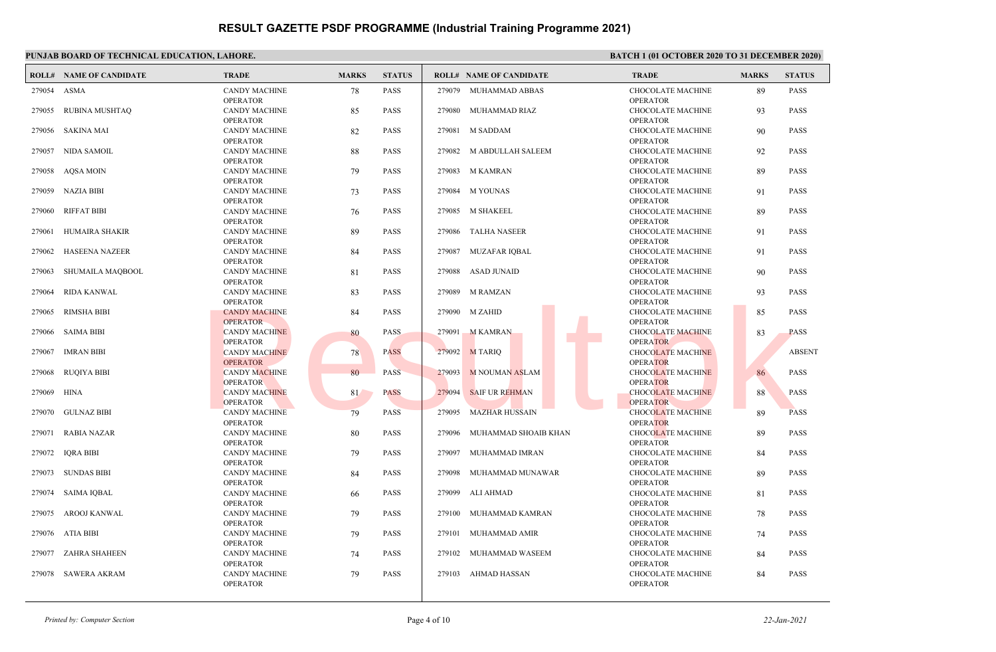|             | <b>ROLL# NAME OF CANDIDATE</b> | <b>TRADE</b>                            | <b>MARKS</b> | <b>STATUS</b> |        | <b>ROLL# NAME OF CANDIDATE</b> | <b>TRADE</b>                                | <b>MARKS</b> | <b>STATUS</b> |
|-------------|--------------------------------|-----------------------------------------|--------------|---------------|--------|--------------------------------|---------------------------------------------|--------------|---------------|
| 279054 ASMA |                                | <b>CANDY MACHINE</b><br><b>OPERATOR</b> | 78           | <b>PASS</b>   |        | 279079 MUHAMMAD ABBAS          | CHOCOLATE MACHINE<br><b>OPERATOR</b>        | 89           | <b>PASS</b>   |
|             | 279055 RUBINA MUSHTAQ          | <b>CANDY MACHINE</b><br><b>OPERATOR</b> | 85           | <b>PASS</b>   |        | 279080 MUHAMMAD RIAZ           | CHOCOLATE MACHINE<br><b>OPERATOR</b>        | 93           | <b>PASS</b>   |
|             | 279056 SAKINA MAI              | <b>CANDY MACHINE</b><br><b>OPERATOR</b> | 82           | <b>PASS</b>   |        | 279081 M SADDAM                | CHOCOLATE MACHINE<br><b>OPERATOR</b>        | 90           | <b>PASS</b>   |
|             | 279057 NIDA SAMOIL             | <b>CANDY MACHINE</b>                    | 88           | <b>PASS</b>   |        | 279082 M ABDULLAH SALEEM       | <b>CHOCOLATE MACHINE</b>                    | 92           | <b>PASS</b>   |
| 279058      | AOSA MOIN                      | <b>OPERATOR</b><br><b>CANDY MACHINE</b> | 79           | <b>PASS</b>   |        | 279083 M KAMRAN                | <b>OPERATOR</b><br>CHOCOLATE MACHINE        | 89           | <b>PASS</b>   |
|             | 279059 NAZIA BIBI              | <b>OPERATOR</b><br><b>CANDY MACHINE</b> | 73           | <b>PASS</b>   |        | 279084 M YOUNAS                | <b>OPERATOR</b><br><b>CHOCOLATE MACHINE</b> | 91           | <b>PASS</b>   |
| 279060      | RIFFAT BIBI                    | <b>OPERATOR</b><br><b>CANDY MACHINE</b> | 76           | <b>PASS</b>   |        | 279085 M SHAKEEL               | <b>OPERATOR</b><br><b>CHOCOLATE MACHINE</b> | 89           | <b>PASS</b>   |
| 279061      | HUMAIRA SHAKIR                 | <b>OPERATOR</b><br><b>CANDY MACHINE</b> | 89           | <b>PASS</b>   |        | 279086 TALHA NASEER            | <b>OPERATOR</b><br><b>CHOCOLATE MACHINE</b> | 91           | <b>PASS</b>   |
| 279062      | <b>HASEENA NAZEER</b>          | <b>OPERATOR</b><br><b>CANDY MACHINE</b> | 84           | <b>PASS</b>   | 279087 | MUZAFAR IQBAL                  | <b>OPERATOR</b><br>CHOCOLATE MACHINE        | 91           | <b>PASS</b>   |
| 279063      | SHUMAILA MAQBOOL               | <b>OPERATOR</b><br><b>CANDY MACHINE</b> | 81           | <b>PASS</b>   | 279088 | ASAD JUNAID                    | <b>OPERATOR</b><br>CHOCOLATE MACHINE        | 90           | <b>PASS</b>   |
| 279064      | <b>RIDA KANWAL</b>             | <b>OPERATOR</b><br><b>CANDY MACHINE</b> | 83           | <b>PASS</b>   | 279089 | <b>M RAMZAN</b>                | <b>OPERATOR</b><br><b>CHOCOLATE MACHINE</b> | 93           | <b>PASS</b>   |
| 279065      | <b>RIMSHA BIBI</b>             | <b>OPERATOR</b><br><b>CANDY MACHINE</b> | 84           | <b>PASS</b>   |        | 279090 M ZAHID                 | <b>OPERATOR</b><br><b>CHOCOLATE MACHINE</b> | 85           | <b>PASS</b>   |
| 279066      | SAIMA BIBI                     | <b>OPERATOR</b><br><b>CANDY MACHINE</b> | 80           | PASS          |        | 279091 M KAMRAN                | <b>OPERATOR</b><br><b>CHOCOLATE MACHINE</b> | 83           | <b>PASS</b>   |
|             | 279067 IMRAN BIBI              | <b>OPERATOR</b><br><b>CANDY MACHINE</b> | 78           | <b>PASS</b>   |        | 279092 M TARIQ                 | <b>OPERATOR</b><br><b>CHOCOLATE MACHINE</b> |              | <b>ABSENT</b> |
|             | 279068 RUQIYA BIBI             | <b>OPERATOR</b><br><b>CANDY MACHINE</b> | 80           | <b>PASS</b>   |        | 279093 M NOUMAN ASLAM          | <b>OPERATOR</b><br><b>CHOCOLATE MACHINE</b> | 86           | <b>PASS</b>   |
| 279069      | HINA                           | <b>OPERATOR</b><br><b>CANDY MACHINE</b> | 81           | <b>PASS</b>   | 279094 | <b>SAIF UR REHMAN</b>          | <b>OPERATOR</b><br><b>CHOCOLATE MACHINE</b> | 88           | <b>PASS</b>   |
| 279070      | <b>GULNAZ BIBI</b>             | <b>OPERATOR</b><br><b>CANDY MACHINE</b> | 79           | <b>PASS</b>   | 279095 | <b>MAZHAR HUSSAIN</b>          | <b>OPERATOR</b><br><b>CHOCOLATE MACHINE</b> | 89           | <b>PASS</b>   |
|             | 279071 RABIA NAZAR             | <b>OPERATOR</b><br><b>CANDY MACHINE</b> | 80           | <b>PASS</b>   | 279096 | MUHAMMAD SHOAIB KHAN           | <b>OPERATOR</b><br><b>CHOCOLATE MACHINE</b> | 89           | <b>PASS</b>   |
|             | 279072 IORA BIBI               | <b>OPERATOR</b><br><b>CANDY MACHINE</b> | 79           | <b>PASS</b>   | 279097 | MUHAMMAD IMRAN                 | <b>OPERATOR</b><br><b>CHOCOLATE MACHINE</b> | 84           | <b>PASS</b>   |
|             | 279073 SUNDAS BIBI             | <b>OPERATOR</b><br><b>CANDY MACHINE</b> | 84           | <b>PASS</b>   | 279098 | MUHAMMAD MUNAWAR               | <b>OPERATOR</b><br>CHOCOLATE MACHINE        | 89           | <b>PASS</b>   |
|             | 279074 SAIMA IQBAL             | <b>OPERATOR</b><br><b>CANDY MACHINE</b> | 66           | <b>PASS</b>   |        | 279099 ALI AHMAD               | <b>OPERATOR</b><br>CHOCOLATE MACHINE        | 81           | <b>PASS</b>   |
|             | 279075 AROOJ KANWAL            | <b>OPERATOR</b><br><b>CANDY MACHINE</b> | 79           | <b>PASS</b>   | 279100 | MUHAMMAD KAMRAN                | <b>OPERATOR</b><br><b>CHOCOLATE MACHINE</b> | 78           | <b>PASS</b>   |
|             | 279076 ATIA BIBI               | <b>OPERATOR</b><br><b>CANDY MACHINE</b> | 79           | <b>PASS</b>   | 279101 | MUHAMMAD AMIR                  | <b>OPERATOR</b><br>CHOCOLATE MACHINE        | 74           | <b>PASS</b>   |
|             | 279077 ZAHRA SHAHEEN           | <b>OPERATOR</b><br><b>CANDY MACHINE</b> | 74           | <b>PASS</b>   | 279102 | MUHAMMAD WASEEM                | <b>OPERATOR</b><br><b>CHOCOLATE MACHINE</b> | 84           | <b>PASS</b>   |
|             | 279078 SAWERA AKRAM            | <b>OPERATOR</b><br><b>CANDY MACHINE</b> | 79           | <b>PASS</b>   | 279103 | AHMAD HASSAN                   | <b>OPERATOR</b><br><b>CHOCOLATE MACHINE</b> | 84           | <b>PASS</b>   |
|             |                                | <b>OPERATOR</b>                         |              |               |        |                                | <b>OPERATOR</b>                             |              |               |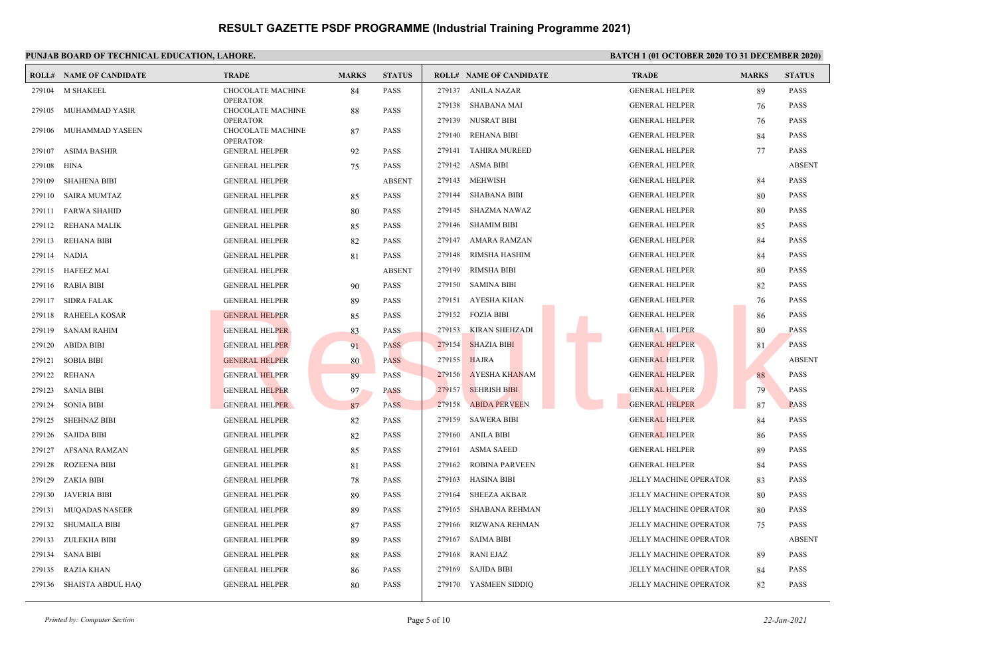### **PUNJAB BOARD OF TECHNICAL EDUCATION, LAHORE. BATCH 1 (01 OCTOBER 2020 TO 31 DECEMBER 2020) ROLL# NAME OF CANDIDATE TRADE MARKS STATUS ROLL# NAME OF CANDIDATE TRADE MARKS STATUS** CHOCOLATE MACHINE 84 PASS OPERATOR 279104 M SHAKEEL CHOCOLATE MACHINE 88 PASS OPERATOR 279105 MUHAMMAD YASIR CHOCOLATE MACHINE 87 PASS OPERATOR 279106 MUHAMMAD YASEEN 279107 ASIMA BASHIR GENERAL HELPER 92 PASS 279108 HINA GENERAL HELPER 75 PASS 279109 SHAHENA BIBI GENERAL HELPER ABSENT 279110 SAIRA MUMTAZ GENERAL HELPER 85 PASS 279111 FARWA SHAHID GENERAL HELPER 80 PASS 279112 REHANA MALIK GENERAL HELPER 85 PASS 279113 REHANA BIBI GENERAL HELPER 82 PASS 279114 NADIA GENERAL HELPER 81 PASS 279115 HAFEEZ MAI GENERAL HELPER ABSENT 279116 RABIA BIBI GENERAL HELPER 90 PASS 279117 SIDRA FALAK GENERAL HELPER 89 PASS 279118 RAHEELA KOSAR GENERAL HELPER 85 PASS 279119 SANAM RAHIM GENERAL HELPER 83 PASS 279120 ABIDA BIBI GENERAL HELPER 91 PASS 279121 SOBIA BIBI GENERAL HELPER 80 PASS 279122 REHANA GENERAL HELPER 89 PASS 279123 SANIA BIBI GENERAL HELPER 97 PASS 279124 SONIA BIBI GENERAL HELPER 87 PASS 279125 SHEHNAZ BIBI GENERAL HELPER 82 PASS 279126 SAJIDA BIBI GENERAL HELPER 82 PASS 279127 AFSANA RAMZAN GENERAL HELPER 85 PASS 279128 ROZEENA BIBI GENERAL HELPER 81 PASS 279129 ZAKIA BIBI GENERAL HELPER 78 PASS 279130 JAVERIA BIBI GENERAL HELPER 89 PASS 279131 MUQADAS NASEER GENERAL HELPER 89 PASS 279132 SHUMAILA BIBI GENERAL HELPER 87 PASS 279133 ZULEKHA BIBI GENERAL HELPER 89 PASS 279134 SANA BIBI GENERAL HELPER 88 PASS 279135 RAZIA KHAN GENERAL HELPER 86 PASS 279136 SHAISTA ABDUL HAQ GENERAL HELPER 80 PASS 279137 ANILA NAZAR GENERAL HELPER 89 PASS 279138 SHABANA MAI GENERAL HELPER 76 PASS 279139 NUSRAT BIBI GENERAL HELPER 76 PASS 279140 REHANA BIBI GENERAL HELPER 84 PASS 279141 TAHIRA MUREED GENERAL HELPER 77 PASS 279142 ASMA BIBI GENERAL HELPER ABSENT 279143 MEHWISH GENERAL HELPER 84 PASS 279144 SHABANA BIBI GENERAL HELPER 80 PASS 279145 SHAZMA NAWAZ GENERAL HELPER 80 PASS 279146 SHAMIM BIBI GENERAL HELPER 85 PASS 279147 AMARA RAMZAN GENERAL HELPER 84 PASS 279148 RIMSHA HASHIM GENERAL HELPER 84 PASS 279149 RIMSHA BIBI GENERAL HELPER 80 PASS 279150 SAMINA BIBI GENERAL HELPER 82 PASS 279151 AYESHA KHAN GENERAL HELPER 76 PASS 279152 FOZIA BIBI GENERAL HELPER 86 PASS 279153 KIRAN SHEHZADI GENERAL HELPER 80 PASS 279154 SHAZIA BIBI GENERAL HELPER 81 PASS 279155 HAJRA BELLE GENERAL HELPER ABSENT 279156 AYESHA KHANAM GENERAL HELPER 88 PASS 279157 SEHRISH BIBI GENERAL HELPER 79 PASS 279158 ABIDA PERVEEN GENERAL HELPER 87 PASS 279159 SAWERA BIBI GENERAL HELPER 84 PASS 279160 ANILA BIBI GENERAL HELPER 86 PASS 279161 ASMA SAEED GENERAL HELPER 89 PASS 279162 ROBINA PARVEEN GENERAL HELPER 84 PASS 279163 HASINA BIBI JELLY MACHINE OPERATOR 83 PASS 279164 SHEEZA AKBAR JELLY MACHINE OPERATOR 80 PASS 279165 SHABANA REHMAN JELLY MACHINE OPERATOR 80 PASS 279166 RIZWANA REHMAN JELLY MACHINE OPERATOR 75 PASS 279167 SAIMA BIBI JELLY MACHINE OPERATOR ABSENT 279168 RANI EJAZ JELLY MACHINE OPERATOR 89 PASS 279169 SAJIDA BIBI JELLY MACHINE OPERATOR 84 PASS 279170 YASMEEN SIDDIQ JELLY MACHINE OPERATOR 82 PASS GENERAL HELPER<br>
GENERAL HELPER<br>
GENERAL HELPER<br>
GENERAL HELPER<br>
GENERAL HELPER<br>
GENERAL HELPER<br>
GENERAL HELPER<br>
RESULTER<br>
RESULTER<br>
RESULTER PASS<br>
PASS 279155 NANDA PER CENERAL HELPER<br>
RESULTER PASS 279155 NANDA PER CENERA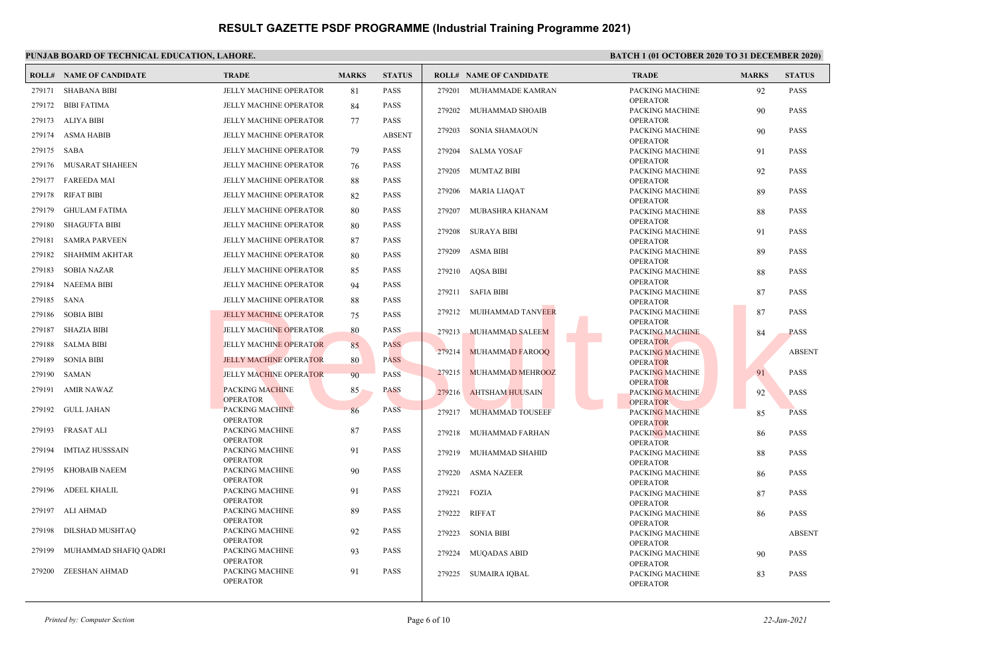|             | <b>ROLL# NAME OF CANDIDATE</b> | <b>TRADE</b>                       | <b>MARKS</b> | <b>STATUS</b> |        | <b>ROLL# NAME OF CANDIDATE</b> | <b>TRADE</b>                              | <b>MARKS</b> | <b>STATUS</b> |
|-------------|--------------------------------|------------------------------------|--------------|---------------|--------|--------------------------------|-------------------------------------------|--------------|---------------|
| 279171      | <b>SHABANA BIBI</b>            | <b>JELLY MACHINE OPERATOR</b>      | 81           | <b>PASS</b>   |        | 279201 MUHAMMADE KAMRAN        | PACKING MACHINE                           | 92           | <b>PASS</b>   |
|             | 279172 BIBI FATIMA             | JELLY MACHINE OPERATOR             | 84           | <b>PASS</b>   |        | 279202 MUHAMMAD SHOAIB         | <b>OPERATOR</b><br>PACKING MACHINE        | 90           | <b>PASS</b>   |
|             | 279173 ALIYA BIBI              | <b>JELLY MACHINE OPERATOR</b>      | 77           | <b>PASS</b>   |        |                                | <b>OPERATOR</b>                           |              |               |
|             | 279174 ASMA HABIB              | JELLY MACHINE OPERATOR             |              | <b>ABSENT</b> | 279203 | SONIA SHAMAOUN                 | PACKING MACHINE                           | 90           | <b>PASS</b>   |
|             |                                |                                    |              |               |        |                                | <b>OPERATOR</b>                           |              |               |
| 279175 SABA |                                | <b>JELLY MACHINE OPERATOR</b>      | 79           | <b>PASS</b>   |        | 279204 SALMA YOSAF             | PACKING MACHINE                           | 91           | <b>PASS</b>   |
|             | 279176 MUSARAT SHAHEEN         | JELLY MACHINE OPERATOR             | 76           | <b>PASS</b>   |        | 279205 MUMTAZ BIBI             | <b>OPERATOR</b><br>PACKING MACHINE        | 92           | <b>PASS</b>   |
|             | 279177 FAREEDA MAI             | <b>JELLY MACHINE OPERATOR</b>      | 88           | <b>PASS</b>   |        |                                | OPERATOR                                  |              |               |
| 279178      | <b>RIFAT BIBI</b>              | JELLY MACHINE OPERATOR             | 82           | <b>PASS</b>   | 279206 | <b>MARIA LIAQAT</b>            | PACKING MACHINE<br><b>OPERATOR</b>        | 89           | <b>PASS</b>   |
| 279179      | <b>GHULAM FATIMA</b>           | <b>JELLY MACHINE OPERATOR</b>      | 80           | <b>PASS</b>   | 279207 | MUBASHRA KHANAM                | PACKING MACHINE                           | 88           | <b>PASS</b>   |
| 279180      | <b>SHAGUFTA BIBI</b>           | JELLY MACHINE OPERATOR             | 80           | <b>PASS</b>   |        |                                | <b>OPERATOR</b>                           |              |               |
| 279181      | <b>SAMRA PARVEEN</b>           | <b>JELLY MACHINE OPERATOR</b>      | 87           | <b>PASS</b>   |        | 279208 SURAYA BIBI             | PACKING MACHINE<br><b>OPERATOR</b>        | 91           | <b>PASS</b>   |
|             | 279182 SHAHMIM AKHTAR          | JELLY MACHINE OPERATOR             | 80           | <b>PASS</b>   | 279209 | ASMA BIBI                      | PACKING MACHINE                           | 89           | <b>PASS</b>   |
| 279183      | <b>SOBIA NAZAR</b>             | <b>JELLY MACHINE OPERATOR</b>      | 85           | <b>PASS</b>   |        | 279210 AQSA BIBI               | <b>OPERATOR</b><br>PACKING MACHINE        | 88           | <b>PASS</b>   |
| 279184      | <b>NAEEMA BIBI</b>             | JELLY MACHINE OPERATOR             | 94           | <b>PASS</b>   |        |                                | <b>OPERATOR</b>                           |              |               |
| 279185 SANA |                                | <b>JELLY MACHINE OPERATOR</b>      |              | <b>PASS</b>   |        | 279211 SAFIA BIBI              | PACKING MACHINE                           | 87           | <b>PASS</b>   |
|             |                                |                                    | 88           |               |        | 279212 MUIHAMMAD TANVEER       | <b>OPERATOR</b><br>PACKING MACHINE        | 87           | <b>PASS</b>   |
| 279186      | <b>SOBIA BIBI</b>              | <b>JELLY MACHINE OPERATOR</b>      | 75           | <b>PASS</b>   |        |                                | <b>OPERATOR</b>                           |              |               |
| 279187      | SHAZIA BIBI                    | <b>JELLY MACHINE OPERATOR</b>      | 80           | <b>PASS</b>   | 279213 | <b>MUHAMMAD SALEEM</b>         | <b>PACKING MACHINE</b>                    | 84           | <b>PASS</b>   |
| 279188      | <b>SALMA BIBI</b>              | <b>JELLY MACHINE OPERATOR</b>      | 85           | <b>PASS</b>   |        | 279214 MUHAMMAD FAROOQ         | <b>OPERATOR</b><br><b>PACKING MACHINE</b> |              | <b>ABSENT</b> |
| 279189      | SONIA BIBI                     | <b>JELLY MACHINE OPERATOR</b>      | 80           | <b>PASS</b>   |        |                                | <b>OPERATOR</b>                           |              |               |
| 279190      | SAMAN                          | <b>JELLY MACHINE OPERATOR</b>      | 90           | <b>PASS</b>   |        | 279215 MUHAMMAD MEHROOZ        | PACKING MACHINE                           | 91           | <b>PASS</b>   |
| 279191      | AMIR NAWAZ                     | <b>PACKING MACHINE</b>             | 85           | <b>PASS</b>   |        | 279216 AHTSHAM HUUSAIN         | <b>OPERATOR</b><br>PACKING MACHINE        | 92           | PASS          |
|             |                                | <b>OPERATOR</b>                    |              |               |        |                                | <b>OPERATOR</b>                           |              |               |
|             | 279192 GULL JAHAN              | PACKING MACHINE<br><b>OPERATOR</b> | 86           | <b>PASS</b>   |        | 279217 MUHAMMAD TOUSEEF        | <b>PACKING MACHINE</b>                    | 85           | <b>PASS</b>   |
| 279193      | <b>FRASAT ALI</b>              | PACKING MACHINE                    | 87           | <b>PASS</b>   | 279218 | MUHAMMAD FARHAN                | <b>OPERATOR</b><br>PACKING MACHINE        |              | <b>PASS</b>   |
|             |                                | <b>OPERATOR</b>                    |              |               |        |                                | <b>OPERATOR</b>                           | 86           |               |
| 279194      | <b>IMTIAZ HUSSSAIN</b>         | PACKING MACHINE                    | 91           | <b>PASS</b>   | 279219 | MUHAMMAD SHAHID                | PACKING MACHINE                           | 88           | <b>PASS</b>   |
| 279195      | <b>KHOBAIB NAEEM</b>           | <b>OPERATOR</b><br>PACKING MACHINE | 90           | <b>PASS</b>   |        |                                | <b>OPERATOR</b>                           |              |               |
|             |                                | <b>OPERATOR</b>                    |              |               | 279220 | <b>ASMA NAZEER</b>             | PACKING MACHINE<br><b>OPERATOR</b>        | 86           | <b>PASS</b>   |
|             | 279196 ADEEL KHALIL            | PACKING MACHINE                    | 91           | <b>PASS</b>   |        | 279221 FOZIA                   | PACKING MACHINE                           | 87           | <b>PASS</b>   |
|             |                                | <b>OPERATOR</b>                    |              |               |        |                                | <b>OPERATOR</b>                           |              |               |
| 279197      | ALI AHMAD                      | PACKING MACHINE<br><b>OPERATOR</b> | 89           | <b>PASS</b>   |        | 279222 RIFFAT                  | PACKING MACHINE<br><b>OPERATOR</b>        | 86           | <b>PASS</b>   |
| 279198      | DILSHAD MUSHTAQ                | PACKING MACHINE                    | 92           | <b>PASS</b>   |        | 279223 SONIA BIBI              | PACKING MACHINE                           |              | <b>ABSENT</b> |
|             |                                | <b>OPERATOR</b>                    |              |               |        |                                | <b>OPERATOR</b>                           |              |               |
| 279199      | MUHAMMAD SHAFIQ QADRI          | PACKING MACHINE<br><b>OPERATOR</b> | 93           | PASS          |        | 279224 MUQADAS ABID            | PACKING MACHINE                           | 90           | <b>PASS</b>   |
| 279200      | <b>ZEESHAN AHMAD</b>           | PACKING MACHINE                    | 91           | <b>PASS</b>   |        |                                | <b>OPERATOR</b>                           |              |               |
|             |                                | <b>OPERATOR</b>                    |              |               |        | 279225 SUMAIRA IQBAL           | PACKING MACHINE<br><b>OPERATOR</b>        | 83           | <b>PASS</b>   |
|             |                                |                                    |              |               |        |                                |                                           |              |               |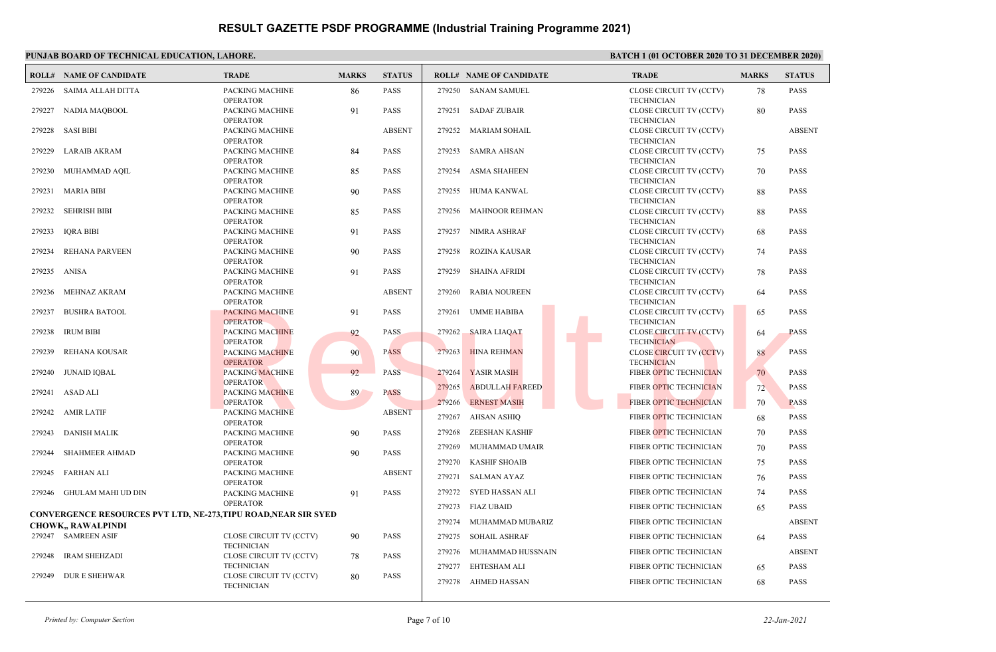### **PUNJAB BOARD OF TECHNICAL EDUCATION, LAHORE. BATCH 1 (01 OCTOBER 2020 TO 31 DECEMBER 2020) ROLL# NAME OF CANDIDATE TRADE MARKS STATUS ROLL# NAME OF CANDIDATE TRADE MARKS STATUS** PACKING MACHINE 86 PASS OPERATOR 279226 SAIMA ALLAH DITTA PACKING MACHINE 91 PASS OPERATOR 279227 NADIA MAQBOOL PACKING MACHINE ABSENT OPERATOR 279228 SASI BIBI PACKING MACHINE 84 PASS OPERATOR 279229 LARAIB AKRAM PACKING MACHINE 85 PASS OPERATOR 279230 MUHAMMAD AQIL PACKING MACHINE 90 PASS OPERATOR 279231 MARIA BIBI PACKING MACHINE 85 PASS OPERATOR 279232 SEHRISH BIBI PACKING MACHINE 91 PASS OPERATOR 279233 IQRA BIBI PACKING MACHINE 90 PASS OPERATOR 279234 REHANA PARVEEN PACKING MACHINE 91 PASS OPERATOR 279235 ANISA PACKING MACHINE ABSENT OPERATOR 279236 MEHNAZ AKRAM PACKING MACHINE 91 PASS OPERATOR 279237 BUSHRA BATOOL PACKING MACHINE 92 PASS OPERATOR 279238 IRUM BIBI PACKING MACHINE 90 PASS OPERATOR 279239 REHANA KOUSAR PACKING MACHINE 92 PASS **OPERATOR** 279240 **JUNAID JOBAL** PACKING MACHINE 89 PASS OPERATOR 279241 ASAD ALI PACKING MACHINE ABSENT OPERATOR 279242 AMIR LATIF PACKING MACHINE 90 PASS OPERATOR 279243 DANISH MALIK PACKING MACHINE 90 PASS OPERATOR 279244 SHAHMEER AHMAD PACKING MACHINE ABSENT OPERATOR 279245 FARHAN ALI PACKING MACHINE 91 PASS OPERATOR 279246 GHULAM MAHI UD DIN **CONVERGENCE RESOURCES PVT LTD, NE-273,TIPU ROAD,NEAR SIR SYED CHOWK,, RAWALPINDI** CLOSE CIRCUIT TV (CCTV) 90 PASS TECHNICIAN 279247 SAMREEN ASIF CLOSE CIRCUIT TV (CCTV) 78 PASS **TECHNICIAN**  279248 IRAM SHEHZADI CLOSE CIRCUIT TV (CCTV) 80 PASS **TECHNICIAN**  279249 DUR E SHEHWAR CLOSE CIRCUIT TV (CCTV) 78 PASS **TECHNICIAN**  279250 SANAM SAMUEL CLOSE CIRCUIT TV (CCTV) 80 PASS TECHNICIAN 279251 SADAF ZUBAIR CLOSE CIRCUIT TV (CCTV) ABSENT TECHNICIAN 279252 MARIAM SOHAIL CLOSE CIRCUIT TV (CCTV) 75 PASS **TECHNICIAN**  279253 SAMRA AHSAN CLOSE CIRCUIT TV (CCTV) 70 PASS TECHNICIAN 279254 ASMA SHAHEEN CLOSE CIRCUIT TV (CCTV) 88 PASS TECHNICIAN 279255 HUMA KANWAL CLOSE CIRCUIT TV (CCTV) 88 PASS TECHNICIAN 279256 MAHNOOR REHMAN CLOSE CIRCUIT TV (CCTV) 68 PASS TECHNICIAN 279257 NIMRA ASHRAF CLOSE CIRCUIT TV (CCTV) 74 PASS TECHNICIAN 279258 ROZINA KAUSAR CLOSE CIRCUIT TV (CCTV) 78 PASS TECHNICIAN 279259 SHAINA AFRIDI CLOSE CIRCUIT TV (CCTV) 64 PASS TECHNICIAN 279260 RABIA NOUREEN CLOSE CIRCUIT TV (CCTV) 65 PASS TECHNICIAN 279261 UMME HABIBA CLOSE CIRCUIT TV (CCTV) 64 PASS **TECHNICIAN**  279262 SAIRA LIAQAT CLOSE CIRCUIT TV (CCTV) 88 PASS **TECHNICIAN**  279263 HINA REHMAN 279264 YASIR MASIH FIBER OPTIC TECHNICIAN 70 PASS 279265 ABDULLAH FAREED FIBER OPTIC TECHNICIAN 72 PASS 279266 ERNEST MASIH FIBER OPTIC TECHNICIAN 70 PASS 279267 AHSAN ASHIQ FIBER OPTIC TECHNICIAN 68 PASS 279268 ZEESHAN KASHIF FIBER OPTIC TECHNICIAN 70 PASS 279269 MUHAMMAD UMAIR FIBER OPTIC TECHNICIAN 70 PASS 279270 KASHIF SHOAIB FIBER OPTIC TECHNICIAN 75 PASS 279271 SALMAN AYAZ FIBER OPTIC TECHNICIAN 76 PASS 279272 SYED HASSAN ALI FIBER OPTIC TECHNICIAN 74 PASS 279273 FIAZ UBAID **FIBER OPTIC TECHNICIAN** 65 PASS 279274 MUHAMMAD MUBARIZ FIBER OPTIC TECHNICIAN ABSENT 279275 SOHAIL ASHRAF FIBER OPTIC TECHNICIAN 64 PASS 279276 MUHAMMAD HUSSNAIN FIBER OPTIC TECHNICIAN ABSENT 279277 EHTESHAM ALI FIBER OPTIC TECHNICIAN 65 PASS 279278 AHMED HASSAN FIBER OPTIC TECHNICIAN 68 PASS EXERINGER TOR PACKING MACHINE<br>
PACKING MACHINE<br>
PERATOR<br>
OPERATOR<br>
OPERATOR<br>
OPERATOR<br>
OPERATOR<br>
PACKING MACHINE<br>
PERATOR<br>
PERATOR<br>
PERATOR<br>
PACKING MACHINE<br>
PACKING MACHINE<br>
PERATOR<br>
PERATOR<br>
PACKING MACHINE<br>
PACKING MACH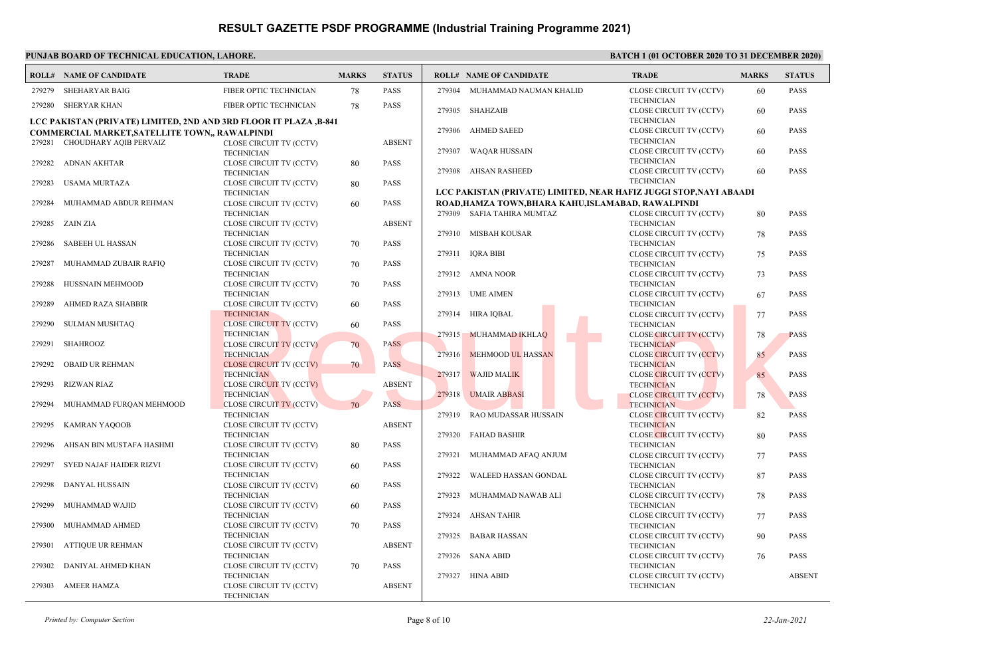|        | <b>ROLL# NAME OF CANDIDATE</b>                                    | <b>TRADE</b>                                        | <b>MARKS</b> | <b>STATUS</b> | <b>ROLL# NAME OF CANDIDATE</b> | <b>TRADE</b>                                                                            | <b>MARKS</b> | <b>STATUS</b> |
|--------|-------------------------------------------------------------------|-----------------------------------------------------|--------------|---------------|--------------------------------|-----------------------------------------------------------------------------------------|--------------|---------------|
| 279279 | SHEHARYAR BAIG                                                    | FIBER OPTIC TECHNICIAN                              | 78           | <b>PASS</b>   | 279304 MUHAMMAD NAUMAN KHALID  | CLOSE CIRCUIT TV (CCTV)                                                                 | 60           | <b>PASS</b>   |
|        | 279280 SHERYAR KHAN                                               | FIBER OPTIC TECHNICIAN                              | 78           | <b>PASS</b>   |                                | <b>TECHNICIAN</b>                                                                       |              |               |
|        | LCC PAKISTAN (PRIVATE) LIMITED, 2ND AND 3RD FLOOR IT PLAZA ,B-841 |                                                     |              |               | 279305 SHAHZAIB                | CLOSE CIRCUIT TV (CCTV)<br><b>TECHNICIAN</b>                                            | 60           | <b>PASS</b>   |
|        | COMMERCIAL MARKET, SATELLITE TOWN,, RAWALPINDI                    |                                                     |              |               | 279306 AHMED SAEED             | CLOSE CIRCUIT TV (CCTV)                                                                 | 60           | <b>PASS</b>   |
|        | 279281 CHOUDHARY AQIB PERVAIZ                                     | CLOSE CIRCUIT TV (CCTV)                             |              | <b>ABSENT</b> |                                | <b>TECHNICIAN</b>                                                                       |              |               |
|        |                                                                   | <b>TECHNICIAN</b>                                   |              |               | 279307 WAQAR HUSSAIN           | CLOSE CIRCUIT TV (CCTV)                                                                 | 60           | <b>PASS</b>   |
| 279282 | ADNAN AKHTAR                                                      | CLOSE CIRCUIT TV (CCTV)                             | 80           | <b>PASS</b>   |                                | <b>TECHNICIAN</b>                                                                       |              |               |
|        |                                                                   | <b>TECHNICIAN</b>                                   |              |               | 279308 AHSAN RASHEED           | CLOSE CIRCUIT TV (CCTV)                                                                 | 60           | <b>PASS</b>   |
| 279283 | <b>USAMA MURTAZA</b>                                              | CLOSE CIRCUIT TV (CCTV)                             | 80           | <b>PASS</b>   |                                | <b>TECHNICIAN</b><br>LCC PAKISTAN (PRIVATE) LIMITED, NEAR HAFIZ JUGGI STOP, NAYI ABAADI |              |               |
| 279284 | MUHAMMAD ABDUR REHMAN                                             | <b>TECHNICIAN</b><br>CLOSE CIRCUIT TV (CCTV)        | 60           | <b>PASS</b>   |                                | ROAD, HAMZA TOWN, BHARA KAHU, ISLAMABAD, RAWALPINDI                                     |              |               |
|        |                                                                   | <b>TECHNICIAN</b>                                   |              |               | 279309 SAFIA TAHIRA MUMTAZ     | CLOSE CIRCUIT TV (CCTV)                                                                 | 80           | <b>PASS</b>   |
|        | 279285 ZAIN ZIA                                                   | CLOSE CIRCUIT TV (CCTV)                             |              | <b>ABSENT</b> |                                | <b>TECHNICIAN</b>                                                                       |              |               |
|        |                                                                   | <b>TECHNICIAN</b>                                   |              |               | 279310 MISBAH KOUSAR           | CLOSE CIRCUIT TV (CCTV)                                                                 | 78           | <b>PASS</b>   |
| 279286 | SABEEH UL HASSAN                                                  | CLOSE CIRCUIT TV (CCTV)                             | 70           | <b>PASS</b>   |                                | <b>TECHNICIAN</b>                                                                       |              |               |
|        |                                                                   | <b>TECHNICIAN</b>                                   |              |               | 279311 IQRA BIBI               | <b>CLOSE CIRCUIT TV (CCTV)</b>                                                          | 75           | <b>PASS</b>   |
| 279287 | MUHAMMAD ZUBAIR RAFIQ                                             | CLOSE CIRCUIT TV (CCTV)                             | 70           | <b>PASS</b>   |                                | <b>TECHNICIAN</b>                                                                       |              |               |
|        |                                                                   | <b>TECHNICIAN</b>                                   |              |               | 279312 AMNA NOOR               | CLOSE CIRCUIT TV (CCTV)                                                                 | 73           | <b>PASS</b>   |
| 279288 | HUSSNAIN MEHMOOD                                                  | CLOSE CIRCUIT TV (CCTV)<br><b>TECHNICIAN</b>        | 70           | <b>PASS</b>   | 279313 UME AIMEN               | <b>TECHNICIAN</b><br>CLOSE CIRCUIT TV (CCTV)                                            | 67           | <b>PASS</b>   |
| 279289 | AHMED RAZA SHABBIR                                                | CLOSE CIRCUIT TV (CCTV)                             | 60           | <b>PASS</b>   |                                | <b>TECHNICIAN</b>                                                                       |              |               |
|        |                                                                   | <b>TECHNICIAN</b>                                   |              |               | 279314 HIRA IOBAL              | CLOSE CIRCUIT TV (CCTV)                                                                 | 77           | <b>PASS</b>   |
| 279290 | <b>SULMAN MUSHTAQ</b>                                             | <b>CLOSE CIRCUIT TV (CCTV)</b>                      | 60           | <b>PASS</b>   |                                | <b>TECHNICIAN</b>                                                                       |              |               |
|        |                                                                   | <b>TECHNICIAN</b>                                   |              |               | 279315 MUHAMMAD IKHLAO         | <b>CLOSE CIRCUIT TV (CCTV)</b>                                                          | 78           | <b>PASS</b>   |
| 279291 | SHAHROOZ                                                          | <b>CLOSE CIRCUIT TV (CCTV)</b>                      | 70           | <b>PASS</b>   |                                | <b>TECHNICIAN</b>                                                                       |              |               |
|        |                                                                   | <b>TECHNICIAN</b>                                   |              | <b>PASS</b>   | 279316 MEHMOOD UL HASSAN       | <b>CLOSE CIRCUIT TV (CCTV)</b>                                                          | 85           | <b>PASS</b>   |
| 279292 | <b>OBAID UR REHMAN</b>                                            | <b>CLOSE CIRCUIT TV (CCTV)</b><br><b>TECHNICIAN</b> | 70           |               | 279317 WAJID MALIK             | <b>TECHNICIAN</b><br><b>CLOSE CIRCUIT TV (CCTV)</b>                                     | 85           | <b>PASS</b>   |
| 279293 | RIZWAN RIAZ                                                       | <b>CLOSE CIRCUIT TV (CCTV)</b>                      |              | <b>ABSENT</b> |                                | <b>TECHNICIAN</b>                                                                       |              |               |
|        |                                                                   | <b>TECHNICIAN</b>                                   |              |               | 279318 UMAIR ABBASI            | <b>CLOSE CIRCUIT TV (CCTV)</b>                                                          | 78           | PASS          |
| 279294 | MUHAMMAD FURQAN MEHMOOD                                           | <b>CLOSE CIRCUIT TV (CCTV)</b>                      | 70           | <b>PASS</b>   |                                | <b>TECHNICIAN</b>                                                                       |              |               |
|        |                                                                   | <b>TECHNICIAN</b>                                   |              |               | RAO MUDASSAR HUSSAIN<br>279319 | <b>CLOSE CIRCUIT TV (CCTV)</b>                                                          | 82           | <b>PASS</b>   |
| 279295 | KAMRAN YAQOOB                                                     | CLOSE CIRCUIT TV (CCTV)                             |              | <b>ABSENT</b> |                                | <b>TECHNICIAN</b>                                                                       |              |               |
|        |                                                                   | <b>TECHNICIAN</b>                                   |              |               | 279320<br>FAHAD BASHIR         | <b>CLOSE CIRCUIT TV (CCTV)</b>                                                          | 80           | <b>PASS</b>   |
| 279296 | AHSAN BIN MUSTAFA HASHMI                                          | CLOSE CIRCUIT TV (CCTV)<br><b>TECHNICIAN</b>        | 80           | <b>PASS</b>   | 279321 MUHAMMAD AFAQ ANJUM     | <b>TECHNICIAN</b><br>CLOSE CIRCUIT TV (CCTV)                                            | 77           | <b>PASS</b>   |
| 279297 | SYED NAJAF HAIDER RIZVI                                           | CLOSE CIRCUIT TV (CCTV)                             | 60           | <b>PASS</b>   |                                | <b>TECHNICIAN</b>                                                                       |              |               |
|        |                                                                   | <b>TECHNICIAN</b>                                   |              |               | 279322<br>WALEED HASSAN GONDAL | CLOSE CIRCUIT TV (CCTV)                                                                 | 87           | <b>PASS</b>   |
| 279298 | DANYAL HUSSAIN                                                    | CLOSE CIRCUIT TV (CCTV)                             | 60           | <b>PASS</b>   |                                | <b>TECHNICIAN</b>                                                                       |              |               |
|        |                                                                   | <b>TECHNICIAN</b>                                   |              |               | 279323<br>MUHAMMAD NAWAB ALI   | CLOSE CIRCUIT TV (CCTV)                                                                 | 78           | <b>PASS</b>   |
| 279299 | MUHAMMAD WAJID                                                    | CLOSE CIRCUIT TV (CCTV)                             | 60           | <b>PASS</b>   |                                | <b>TECHNICIAN</b>                                                                       |              |               |
|        |                                                                   | <b>TECHNICIAN</b>                                   |              |               | 279324<br>AHSAN TAHIR          | CLOSE CIRCUIT TV (CCTV)                                                                 | 77           | <b>PASS</b>   |
| 279300 | MUHAMMAD AHMED                                                    | CLOSE CIRCUIT TV (CCTV)                             | 70           | <b>PASS</b>   |                                | <b>TECHNICIAN</b>                                                                       |              |               |
| 279301 | ATTIQUE UR REHMAN                                                 | <b>TECHNICIAN</b><br>CLOSE CIRCUIT TV (CCTV)        |              | <b>ABSENT</b> | 279325<br><b>BABAR HASSAN</b>  | CLOSE CIRCUIT TV (CCTV)<br><b>TECHNICIAN</b>                                            | 90           | <b>PASS</b>   |
|        |                                                                   | <b>TECHNICIAN</b>                                   |              |               | 279326 SANA ABID               | CLOSE CIRCUIT TV (CCTV)                                                                 | 76           | <b>PASS</b>   |
| 279302 | DANIYAL AHMED KHAN                                                | CLOSE CIRCUIT TV (CCTV)                             | 70           | <b>PASS</b>   |                                | <b>TECHNICIAN</b>                                                                       |              |               |
|        |                                                                   | <b>TECHNICIAN</b>                                   |              |               | 279327<br>HINA ABID            | CLOSE CIRCUIT TV (CCTV)                                                                 |              | <b>ABSENT</b> |
| 279303 | AMEER HAMZA                                                       | CLOSE CIRCUIT TV (CCTV)                             |              | <b>ABSENT</b> |                                | <b>TECHNICIAN</b>                                                                       |              |               |
|        |                                                                   | <b>TECHNICIAN</b>                                   |              |               |                                |                                                                                         |              |               |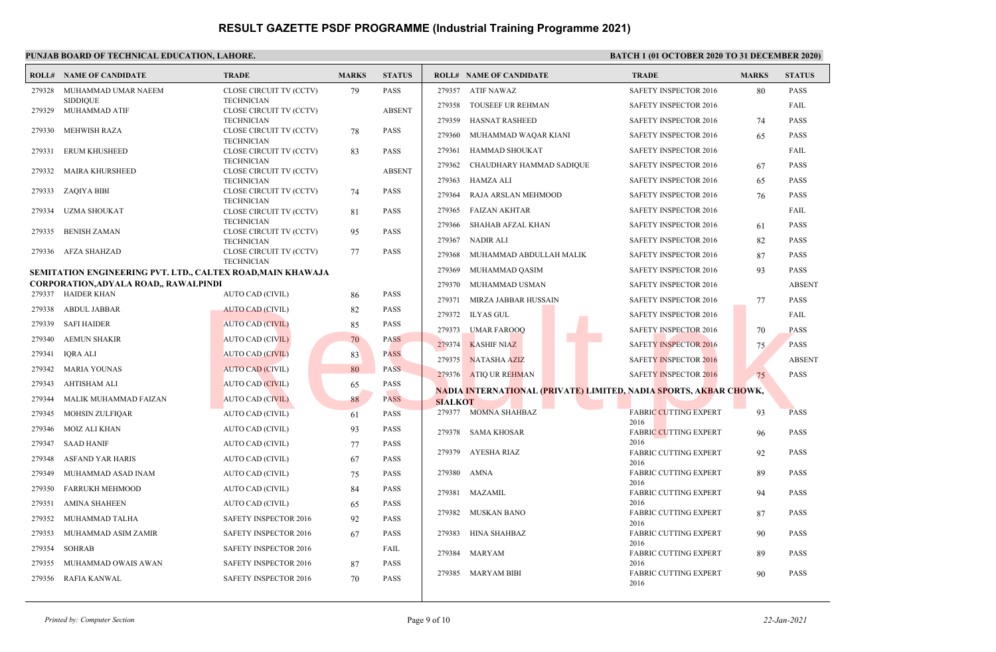### **PUNJAB BOARD OF TECHNICAL EDUCATION, LAHORE. BATCH 1 (01 OCTOBER 2020 TO 31 DECEMBER 2020) ROLL# NAME OF CANDIDATE TRADE MARKS STATUS ROLL# NAME OF CANDIDATE TRADE MARKS STATUS** CLOSE CIRCUIT TV (CCTV) 79 PASS **TECHNICIAN** MUHAMMAD UMAR NAEEM SIDDIQUE 279328 CLOSE CIRCUIT TV (CCTV) ABSENT TECHNICIAN 279329 MUHAMMAD ATIF CLOSE CIRCUIT TV (CCTV) 78 PASS TECHNICIAN 279330 MEHWISH RAZA CLOSE CIRCUIT TV (CCTV) 83 PASS **TECHNICIAN**  279331 ERUM KHUSHEED CLOSE CIRCUIT TV (CCTV) ABSENT TECHNICIAN 279332 MAIRA KHURSHEED CLOSE CIRCUIT TV (CCTV) 74 PASS **TECHNICIAN**  279333 ZAQIYA BIBI CLOSE CIRCUIT TV (CCTV) 81 PASS TECHNICIAN 279334 UZMA SHOUKAT CLOSE CIRCUIT TV (CCTV) 95 PASS TECHNICIAN 279335 BENISH ZAMAN CLOSE CIRCUIT TV (CCTV) 77 PASS TECHNICIAN 279336 AFZA SHAHZAD **SEMITATION ENGINEERING PVT. LTD., CALTEX ROAD,MAIN KHAWAJA CORPORATION,ADYALA ROAD,, RAWALPINDI** 279337 HAIDER KHAN AUTO CAD (CIVIL) 86 PASS 279338 ABDUL JABBAR AUTO CAD (CIVIL) 82 PASS 279339 SAFI HAIDER AUTO CAD (CIVIL) 85 PASS 279340 AEMUN SHAKIR AUTO CAD (CIVIL) 70 PASS 279341 IQRA ALI AUTO CAD (CIVIL) 83 PASS 279342 MARIA YOUNAS AUTO CAD (CIVIL) 80 PASS 279343 AHTISHAM ALI AUTO CAD (CIVIL) 65 PASS 279344 MALIK MUHAMMAD FAIZAN AUTO CAD (CIVIL) 88 PASS 279345 MOHSIN ZULFIQAR AUTO CAD (CIVIL) 61 PASS 279346 MOIZ ALI KHAN AUTO CAD (CIVIL) 93 PASS 279347 SAAD HANIF AUTO CAD (CIVIL) 77 PASS 279348 ASFAND YAR HARIS AUTO CAD (CIVIL) 67 PASS 279349 MUHAMMAD ASAD INAM AUTO CAD (CIVIL) 75 PASS 279350 FARRUKH MEHMOOD AUTO CAD (CIVIL) 84 PASS 279351 AMINA SHAHEEN AUTO CAD (CIVIL) 65 PASS 279352 MUHAMMAD TALHA SAFETY INSPECTOR 2016 92 PASS 279353 MUHAMMAD ASIM ZAMIR SAFETY INSPECTOR 2016 67 PASS 279354 SOHRAB SAFETY INSPECTOR 2016 FAIL 279355 MUHAMMAD OWAIS AWAN SAFETY INSPECTOR 2016 87 PASS 279356 RAFIA KANWAL SAFETY INSPECTOR 2016 70 PASS 279357 ATIF NAWAZ SAFETY INSPECTOR 2016 80 PASS 279358 TOUSEEF UR REHMAN SAFETY INSPECTOR 2016 FAIL 279359 HASNAT RASHEED SAFETY INSPECTOR 2016 74 PASS 279360 MUHAMMAD WAQAR KIANI SAFETY INSPECTOR 2016 65 PASS 279361 HAMMAD SHOUKAT SAFETY INSPECTOR 2016 FAIL 279362 CHAUDHARY HAMMAD SADIQUE SAFETY INSPECTOR 2016 67 PASS 279363 HAMZA ALI SAFETY INSPECTOR 2016 65 PASS 279364 RAJA ARSLAN MEHMOOD SAFETY INSPECTOR 2016 76 PASS 279365 FAIZAN AKHTAR SAFETY INSPECTOR 2016 FAIL 279366 SHAHAB AFZAL KHAN SAFETY INSPECTOR 2016 61 PASS 279367 NADIR ALI SAFETY INSPECTOR 2016 82 PASS 279368 MUHAMMAD ABDULLAH MALIK SAFETY INSPECTOR 2016 87 PASS 279369 MUHAMMAD QASIM SAFETY INSPECTOR 2016 93 PASS 279370 MUHAMMAD USMAN SAFETY INSPECTOR 2016 ABSENT 279371 MIRZA JABBAR HUSSAIN SAFETY INSPECTOR 2016 77 PASS 279372 ILYAS GUL SAFETY INSPECTOR 2016 FAIL 279373 UMAR FAROOQ SAFETY INSPECTOR 2016 70 PASS 279374 KASHIF NIAZ SAFETY INSPECTOR 2016 75 PASS 279375 NATASHA AZIZ SAFETY INSPECTOR 2016 ABSENT 279376 ATIQ UR REHMAN SAFETY INSPECTOR 2016 75 PASS **NADIA INTERNATIONAL (PRIVATE) LIMITED, NADIA SPORTS, AKBAR CHOWK, SIALKOT** FABRIC CUTTING EXPERT 93 PASS 2016 279377 MOMNA SHAHBAZ FABRIC CUTTING EXPERT 96 PASS 2016 279378 SAMA KHOSAR FABRIC CUTTING EXPERT 92 PASS 2016 279379 AYESHA RIAZ FABRIC CUTTING EXPERT 89 PASS 2016 279380 AMNA FABRIC CUTTING EXPERT 94 PASS 2016 279381 MAZAMIL FABRIC CUTTING EXPERT 87 PASS 2016 279382 MUSKAN BANO FABRIC CUTTING EXPERT 90 PASS 2016 279383 HINA SHAHBAZ FABRIC CUTTING EXPERT 89 PASS 2016 279384 MARYAM FABRIC CUTTING EXPERT 90 PASS 2016 279385 MARYAM BIBI AUTO CAD (CIVIL) 80 PASS 279373 UMAR FAROOQ (NUL) 82 PASS AUTO CAD (CIVIL) 82 PASS AUTO CAD (CIVIL) 82 PASS AUTO CAD (CIVIL) 80 PASS AUTO CAD (CIVIL) 80 PASS AUTO CAD (CIVIL) 80 PASS AUTO CAD (CIVIL) 80 PASS AUTO CAD (CIVI